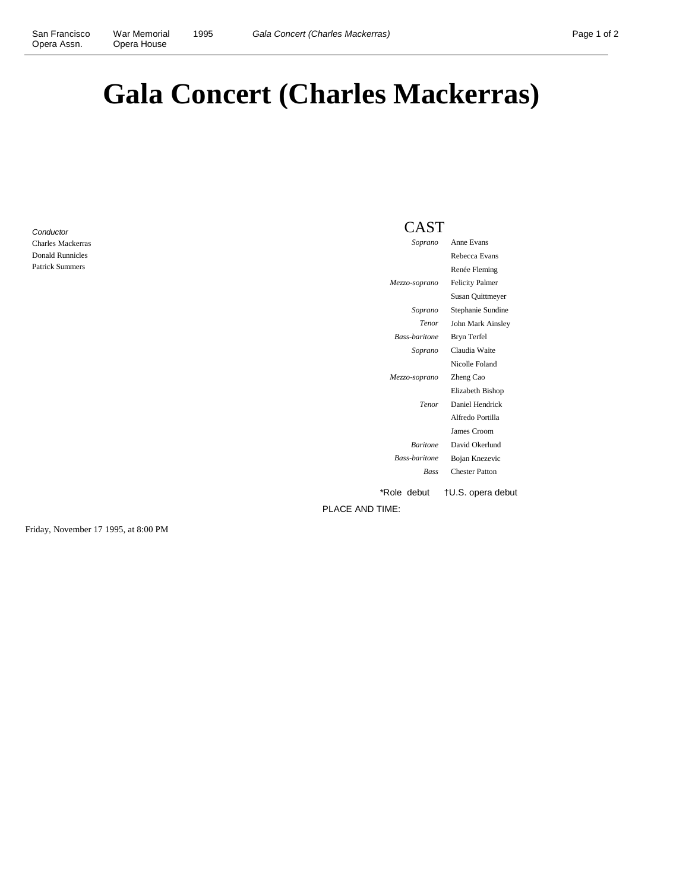## **Gala Concert (Charles Mackerras)**

**Conductor** Charles Mackerras Donald Runnicles Patrick Summers

## CAST

| Soprano              | Anne Evans             |
|----------------------|------------------------|
|                      | Rebecca Evans          |
|                      | Renée Fleming          |
| Mezzo-soprano        | <b>Felicity Palmer</b> |
|                      | Susan Quittmeyer       |
| Soprano              | Stephanie Sundine      |
| Tenor                | John Mark Ainsley      |
| <b>Bass-baritone</b> | Bryn Terfel            |
| Soprano              | Claudia Waite          |
|                      | Nicolle Foland         |
| Mezzo-soprano        | Zheng Cao              |
|                      | Elizabeth Bishop       |
| Tenor                | Daniel Hendrick        |
|                      | Alfredo Portilla       |
|                      | James Croom            |
| <b>Baritone</b>      | David Okerlund         |
| <b>Bass-baritone</b> | Bojan Knezevic         |
| <b>Bass</b>          | Chester Patton         |
|                      |                        |

\*Role debut †U.S. opera debut

PLACE AND TIME:

Friday, November 17 1995, at 8:00 PM